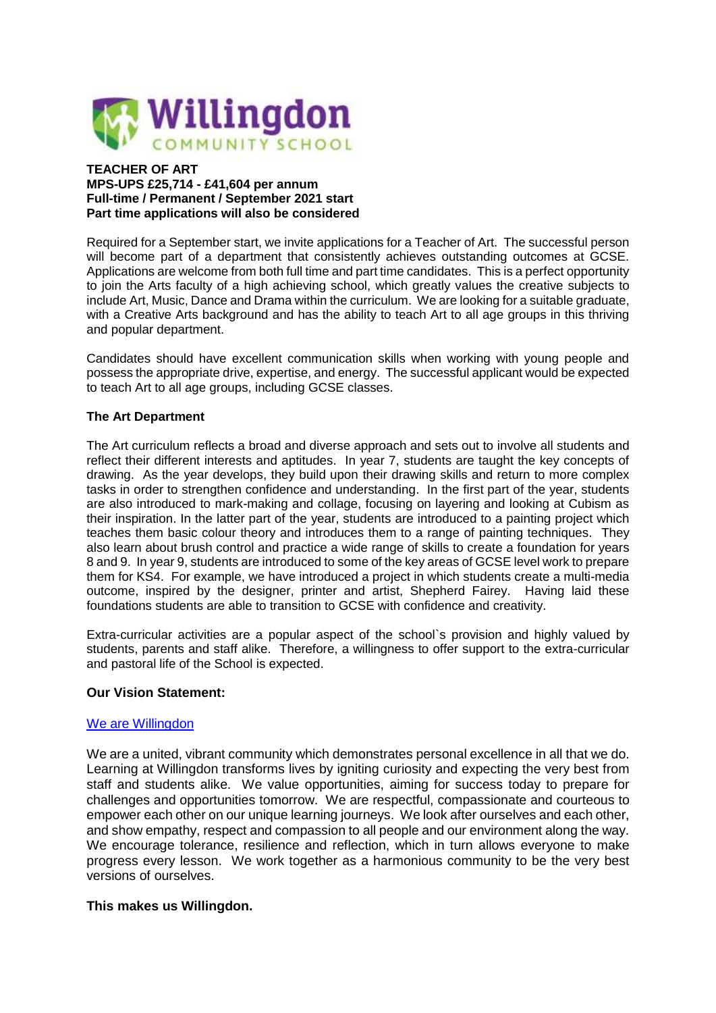

### **TEACHER OF ART MPS-UPS £25,714 - £41,604 per annum Full-time / Permanent / September 2021 start Part time applications will also be considered**

Required for a September start, we invite applications for a Teacher of Art. The successful person will become part of a department that consistently achieves outstanding outcomes at GCSE. Applications are welcome from both full time and part time candidates. This is a perfect opportunity to join the Arts faculty of a high achieving school, which greatly values the creative subjects to include Art, Music, Dance and Drama within the curriculum. We are looking for a suitable graduate, with a Creative Arts background and has the ability to teach Art to all age groups in this thriving and popular department.

Candidates should have excellent communication skills when working with young people and possess the appropriate drive, expertise, and energy. The successful applicant would be expected to teach Art to all age groups, including GCSE classes.

# **The Art Department**

The Art curriculum reflects a broad and diverse approach and sets out to involve all students and reflect their different interests and aptitudes. In year 7, students are taught the key concepts of drawing. As the year develops, they build upon their drawing skills and return to more complex tasks in order to strengthen confidence and understanding. In the first part of the year, students are also introduced to mark-making and collage, focusing on layering and looking at Cubism as their inspiration. In the latter part of the year, students are introduced to a painting project which teaches them basic colour theory and introduces them to a range of painting techniques. They also learn about brush control and practice a wide range of skills to create a foundation for years 8 and 9. In year 9, students are introduced to some of the key areas of GCSE level work to prepare them for KS4. For example, we have introduced a project in which students create a multi-media outcome, inspired by the designer, printer and artist, Shepherd Fairey. Having laid these foundations students are able to transition to GCSE with confidence and creativity.

Extra-curricular activities are a popular aspect of the school`s provision and highly valued by students, parents and staff alike. Therefore, a willingness to offer support to the extra-curricular and pastoral life of the School is expected.

## **Our Vision Statement:**

# We are [Willingdon](https://www.youtube.com/watch?v=hh3vC1yX3CI)

We are a united, vibrant community which demonstrates personal excellence in all that we do. Learning at Willingdon transforms lives by igniting curiosity and expecting the very best from staff and students alike. We value opportunities, aiming for success today to prepare for challenges and opportunities tomorrow. We are respectful, compassionate and courteous to empower each other on our unique learning journeys. We look after ourselves and each other, and show empathy, respect and compassion to all people and our environment along the way. We encourage tolerance, resilience and reflection, which in turn allows everyone to make progress every lesson. We work together as a harmonious community to be the very best versions of ourselves.

## **This makes us Willingdon.**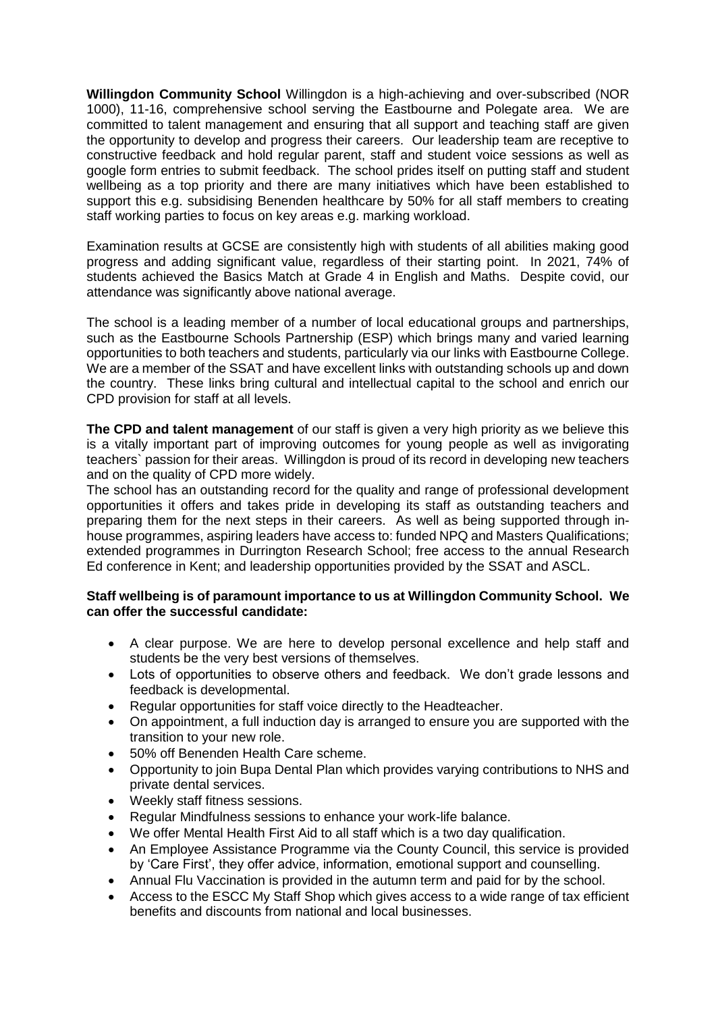**Willingdon Community School** Willingdon is a high-achieving and over-subscribed (NOR 1000), 11-16, comprehensive school serving the Eastbourne and Polegate area. We are committed to talent management and ensuring that all support and teaching staff are given the opportunity to develop and progress their careers. Our leadership team are receptive to constructive feedback and hold regular parent, staff and student voice sessions as well as google form entries to submit feedback. The school prides itself on putting staff and student wellbeing as a top priority and there are many initiatives which have been established to support this e.g. subsidising Benenden healthcare by 50% for all staff members to creating staff working parties to focus on key areas e.g. marking workload.

Examination results at GCSE are consistently high with students of all abilities making good progress and adding significant value, regardless of their starting point. In 2021, 74% of students achieved the Basics Match at Grade 4 in English and Maths. Despite covid, our attendance was significantly above national average.

The school is a leading member of a number of local educational groups and partnerships, such as the Eastbourne Schools Partnership (ESP) which brings many and varied learning opportunities to both teachers and students, particularly via our links with Eastbourne College. We are a member of the SSAT and have excellent links with outstanding schools up and down the country. These links bring cultural and intellectual capital to the school and enrich our CPD provision for staff at all levels.

**The CPD and talent management** of our staff is given a very high priority as we believe this is a vitally important part of improving outcomes for young people as well as invigorating teachers` passion for their areas. Willingdon is proud of its record in developing new teachers and on the quality of CPD more widely.

The school has an outstanding record for the quality and range of professional development opportunities it offers and takes pride in developing its staff as outstanding teachers and preparing them for the next steps in their careers. As well as being supported through inhouse programmes, aspiring leaders have access to: funded NPQ and Masters Qualifications; extended programmes in Durrington Research School; free access to the annual Research Ed conference in Kent; and leadership opportunities provided by the SSAT and ASCL.

# **Staff wellbeing is of paramount importance to us at Willingdon Community School. We can offer the successful candidate:**

- A clear purpose. We are here to develop personal excellence and help staff and students be the very best versions of themselves.
- Lots of opportunities to observe others and feedback. We don't grade lessons and feedback is developmental.
- Regular opportunities for staff voice directly to the Headteacher.
- On appointment, a full induction day is arranged to ensure you are supported with the transition to your new role.
- 50% off Benenden Health Care scheme.
- Opportunity to join Bupa Dental Plan which provides varying contributions to NHS and private dental services.
- Weekly staff fitness sessions.
- Regular Mindfulness sessions to enhance your work-life balance.
- We offer Mental Health First Aid to all staff which is a two day qualification.
- An Employee Assistance Programme via the County Council, this service is provided by 'Care First', they offer advice, information, emotional support and counselling.
- Annual Flu Vaccination is provided in the autumn term and paid for by the school.
- Access to the ESCC My Staff Shop which gives access to a wide range of tax efficient benefits and discounts from national and local businesses.